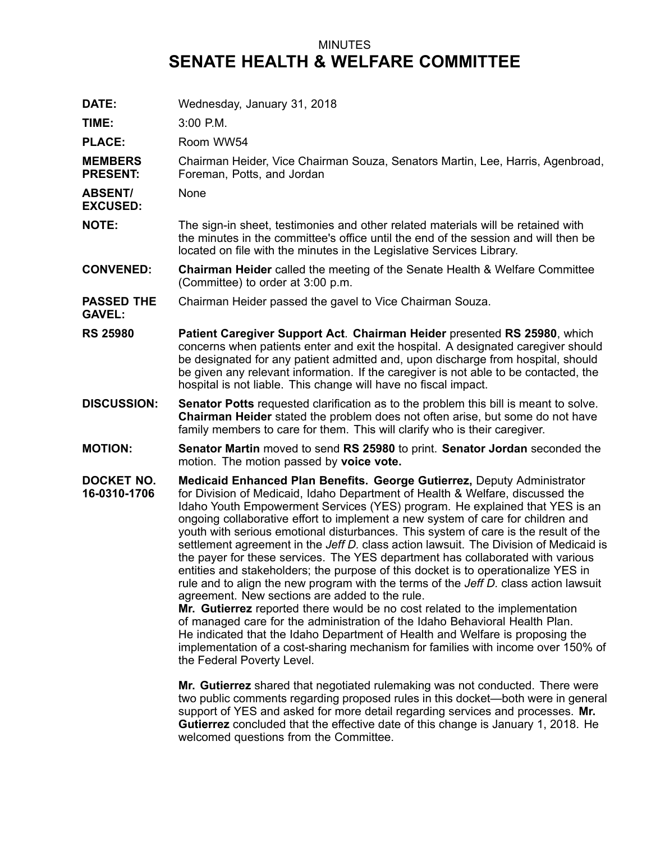## MINUTES **SENATE HEALTH & WELFARE COMMITTEE**

| DATE:                              | Wednesday, January 31, 2018                                                                                                                                                                                                                                                                                                                                                                                                                                                                                                                                                                                                                                                                                                                                                                                                                                                                                                                                                                                                                                                                                                                                                                         |
|------------------------------------|-----------------------------------------------------------------------------------------------------------------------------------------------------------------------------------------------------------------------------------------------------------------------------------------------------------------------------------------------------------------------------------------------------------------------------------------------------------------------------------------------------------------------------------------------------------------------------------------------------------------------------------------------------------------------------------------------------------------------------------------------------------------------------------------------------------------------------------------------------------------------------------------------------------------------------------------------------------------------------------------------------------------------------------------------------------------------------------------------------------------------------------------------------------------------------------------------------|
| TIME:                              | 3:00 P.M.                                                                                                                                                                                                                                                                                                                                                                                                                                                                                                                                                                                                                                                                                                                                                                                                                                                                                                                                                                                                                                                                                                                                                                                           |
| <b>PLACE:</b>                      | Room WW54                                                                                                                                                                                                                                                                                                                                                                                                                                                                                                                                                                                                                                                                                                                                                                                                                                                                                                                                                                                                                                                                                                                                                                                           |
| <b>MEMBERS</b><br><b>PRESENT:</b>  | Chairman Heider, Vice Chairman Souza, Senators Martin, Lee, Harris, Agenbroad,<br>Foreman, Potts, and Jordan                                                                                                                                                                                                                                                                                                                                                                                                                                                                                                                                                                                                                                                                                                                                                                                                                                                                                                                                                                                                                                                                                        |
| <b>ABSENT/</b><br><b>EXCUSED:</b>  | None                                                                                                                                                                                                                                                                                                                                                                                                                                                                                                                                                                                                                                                                                                                                                                                                                                                                                                                                                                                                                                                                                                                                                                                                |
| <b>NOTE:</b>                       | The sign-in sheet, testimonies and other related materials will be retained with<br>the minutes in the committee's office until the end of the session and will then be<br>located on file with the minutes in the Legislative Services Library.                                                                                                                                                                                                                                                                                                                                                                                                                                                                                                                                                                                                                                                                                                                                                                                                                                                                                                                                                    |
| <b>CONVENED:</b>                   | <b>Chairman Heider</b> called the meeting of the Senate Health & Welfare Committee<br>(Committee) to order at 3:00 p.m.                                                                                                                                                                                                                                                                                                                                                                                                                                                                                                                                                                                                                                                                                                                                                                                                                                                                                                                                                                                                                                                                             |
| <b>PASSED THE</b><br><b>GAVEL:</b> | Chairman Heider passed the gavel to Vice Chairman Souza.                                                                                                                                                                                                                                                                                                                                                                                                                                                                                                                                                                                                                                                                                                                                                                                                                                                                                                                                                                                                                                                                                                                                            |
| <b>RS 25980</b>                    | Patient Caregiver Support Act. Chairman Heider presented RS 25980, which<br>concerns when patients enter and exit the hospital. A designated caregiver should<br>be designated for any patient admitted and, upon discharge from hospital, should<br>be given any relevant information. If the caregiver is not able to be contacted, the<br>hospital is not liable. This change will have no fiscal impact.                                                                                                                                                                                                                                                                                                                                                                                                                                                                                                                                                                                                                                                                                                                                                                                        |
| <b>DISCUSSION:</b>                 | <b>Senator Potts</b> requested clarification as to the problem this bill is meant to solve.<br>Chairman Heider stated the problem does not often arise, but some do not have<br>family members to care for them. This will clarify who is their caregiver.                                                                                                                                                                                                                                                                                                                                                                                                                                                                                                                                                                                                                                                                                                                                                                                                                                                                                                                                          |
| <b>MOTION:</b>                     | <b>Senator Martin moved to send RS 25980 to print. Senator Jordan seconded the</b><br>motion. The motion passed by voice vote.                                                                                                                                                                                                                                                                                                                                                                                                                                                                                                                                                                                                                                                                                                                                                                                                                                                                                                                                                                                                                                                                      |
| DOCKET NO.<br>16-0310-1706         | <b>Medicaid Enhanced Plan Benefits. George Gutierrez, Deputy Administrator</b><br>for Division of Medicaid, Idaho Department of Health & Welfare, discussed the<br>Idaho Youth Empowerment Services (YES) program. He explained that YES is an<br>ongoing collaborative effort to implement a new system of care for children and<br>youth with serious emotional disturbances. This system of care is the result of the<br>settlement agreement in the Jeff D. class action lawsuit. The Division of Medicaid is<br>the payer for these services. The YES department has collaborated with various<br>entities and stakeholders; the purpose of this docket is to operationalize YES in<br>rule and to align the new program with the terms of the Jeff D. class action lawsuit<br>agreement. New sections are added to the rule.<br>Mr. Gutierrez reported there would be no cost related to the implementation<br>of managed care for the administration of the Idaho Behavioral Health Plan.<br>He indicated that the Idaho Department of Health and Welfare is proposing the<br>implementation of a cost-sharing mechanism for families with income over 150% of<br>the Federal Poverty Level. |

**Mr. Gutierrez** shared that negotiated rulemaking was not conducted. There were two public comments regarding proposed rules in this docket—both were in general support of YES and asked for more detail regarding services and processes. **Mr. Gutierrez** concluded that the effective date of this change is January 1, 2018. He welcomed questions from the Committee.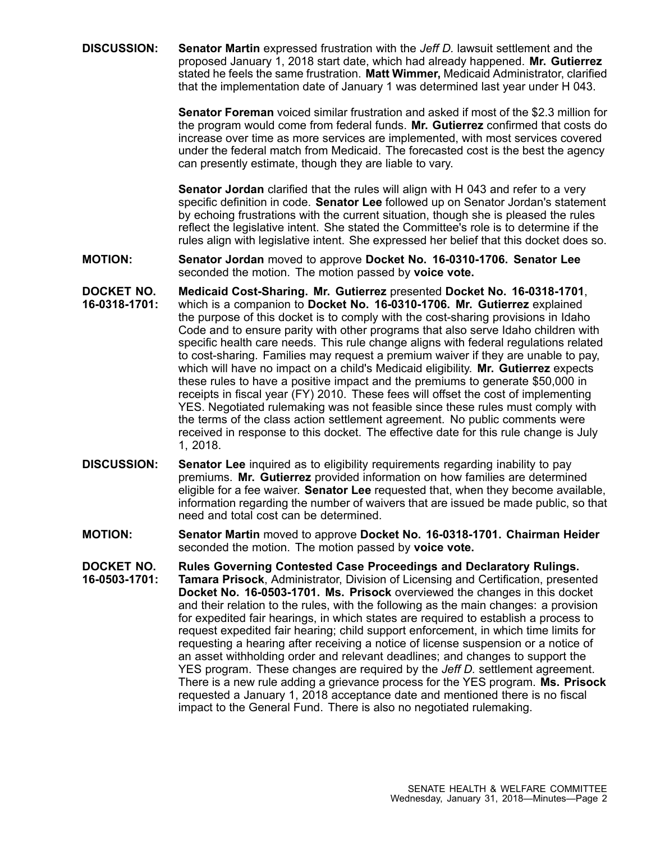**DISCUSSION: Senator Martin** expressed frustration with the *Jeff D.* lawsuit settlement and the proposed January 1, 2018 start date, which had already happened. **Mr. Gutierrez** stated he feels the same frustration. **Matt Wimmer,** Medicaid Administrator, clarified that the implementation date of January 1 was determined last year under H 043.

> **Senator Foreman** voiced similar frustration and asked if most of the \$2.3 million for the program would come from federal funds. **Mr. Gutierrez** confirmed that costs do increase over time as more services are implemented, with most services covered under the federal match from Medicaid. The forecasted cost is the best the agency can presently estimate, though they are liable to vary.

> **Senator Jordan** clarified that the rules will align with H 043 and refer to <sup>a</sup> very specific definition in code. **Senator Lee** followed up on Senator Jordan's statement by echoing frustrations with the current situation, though she is pleased the rules reflect the legislative intent. She stated the Committee's role is to determine if the rules align with legislative intent. She expressed her belief that this docket does so.

- **MOTION: Senator Jordan** moved to approve **Docket No. 16-0310-1706. Senator Lee** seconded the motion. The motion passed by **voice vote.**
- **DOCKET NO. 16-0318-1701: Medicaid Cost-Sharing. Mr. Gutierrez** presented **Docket No. 16-0318-1701**, which is <sup>a</sup> companion to **Docket No. 16-0310-1706. Mr. Gutierrez** explained the purpose of this docket is to comply with the cost-sharing provisions in Idaho Code and to ensure parity with other programs that also serve Idaho children with specific health care needs. This rule change aligns with federal regulations related to cost-sharing. Families may request <sup>a</sup> premium waiver if they are unable to pay, which will have no impact on <sup>a</sup> child's Medicaid eligibility. **Mr. Gutierrez** expects these rules to have <sup>a</sup> positive impact and the premiums to generate \$50,000 in receipts in fiscal year (FY) 2010. These fees will offset the cost of implementing YES. Negotiated rulemaking was not feasible since these rules must comply with the terms of the class action settlement agreement. No public comments were received in response to this docket. The effective date for this rule change is July 1, 2018.
- **DISCUSSION: Senator Lee** inquired as to eligibility requirements regarding inability to pay premiums. **Mr. Gutierrez** provided information on how families are determined eligible for <sup>a</sup> fee waiver. **Senator Lee** requested that, when they become available, information regarding the number of waivers that are issued be made public, so that need and total cost can be determined.
- **MOTION: Senator Martin** moved to approve **Docket No. 16-0318-1701. Chairman Heider** seconded the motion. The motion passed by **voice vote.**
- **DOCKET NO. 16-0503-1701: Rules Governing Contested Case Proceedings and Declaratory Rulings. Tamara Prisock**, Administrator, Division of Licensing and Certification, presented **Docket No. 16-0503-1701. Ms. Prisock** overviewed the changes in this docket and their relation to the rules, with the following as the main changes: <sup>a</sup> provision for expedited fair hearings, in which states are required to establish <sup>a</sup> process to request expedited fair hearing; child support enforcement, in which time limits for requesting <sup>a</sup> hearing after receiving <sup>a</sup> notice of license suspension or <sup>a</sup> notice of an asset withholding order and relevant deadlines; and changes to support the YES program. These changes are required by the *Jeff D.* settlement agreement. There is <sup>a</sup> new rule adding <sup>a</sup> grievance process for the YES program. **Ms. Prisock** requested <sup>a</sup> January 1, 2018 acceptance date and mentioned there is no fiscal impact to the General Fund. There is also no negotiated rulemaking.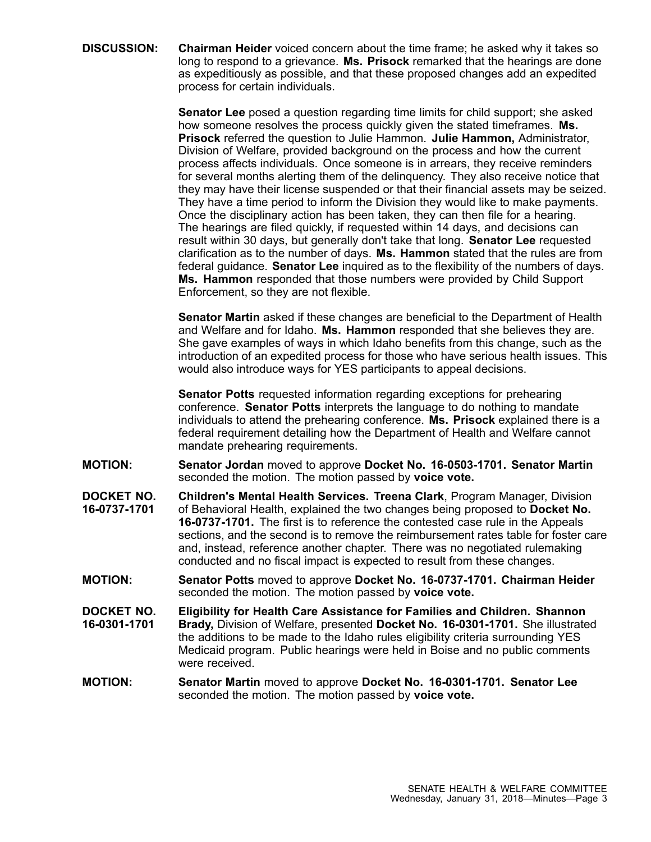**DISCUSSION: Chairman Heider** voiced concern about the time frame; he asked why it takes so long to respond to <sup>a</sup> grievance. **Ms. Prisock** remarked that the hearings are done as expeditiously as possible, and that these proposed changes add an expedited process for certain individuals.

> **Senator Lee** posed <sup>a</sup> question regarding time limits for child support; she asked how someone resolves the process quickly given the stated timeframes. **Ms. Prisock** referred the question to Julie Hammon. **Julie Hammon,** Administrator, Division of Welfare, provided background on the process and how the current process affects individuals. Once someone is in arrears, they receive reminders for several months alerting them of the delinquency. They also receive notice that they may have their license suspended or that their financial assets may be seized. They have <sup>a</sup> time period to inform the Division they would like to make payments. Once the disciplinary action has been taken, they can then file for <sup>a</sup> hearing. The hearings are filed quickly, if requested within 14 days, and decisions can result within 30 days, but generally don't take that long. **Senator Lee** requested clarification as to the number of days. **Ms. Hammon** stated that the rules are from federal guidance. **Senator Lee** inquired as to the flexibility of the numbers of days. **Ms. Hammon** responded that those numbers were provided by Child Support Enforcement, so they are not flexible.

> **Senator Martin** asked if these changes are beneficial to the Department of Health and Welfare and for Idaho. **Ms. Hammon** responded that she believes they are. She gave examples of ways in which Idaho benefits from this change, such as the introduction of an expedited process for those who have serious health issues. This would also introduce ways for YES participants to appeal decisions.

**Senator Potts** requested information regarding exceptions for prehearing conference. **Senator Potts** interprets the language to do nothing to mandate individuals to attend the prehearing conference. **Ms. Prisock** explained there is <sup>a</sup> federal requirement detailing how the Department of Health and Welfare cannot mandate prehearing requirements.

- **MOTION: Senator Jordan** moved to approve **Docket No. 16-0503-1701. Senator Martin** seconded the motion. The motion passed by **voice vote.**
- **DOCKET NO. 16-0737-1701 Children's Mental Health Services. Treena Clark**, Program Manager, Division of Behavioral Health, explained the two changes being proposed to **Docket No. 16-0737-1701.** The first is to reference the contested case rule in the Appeals sections, and the second is to remove the reimbursement rates table for foster care and, instead, reference another chapter. There was no negotiated rulemaking conducted and no fiscal impact is expected to result from these changes.
- **MOTION: Senator Potts** moved to approve **Docket No. 16-0737-1701. Chairman Heider** seconded the motion. The motion passed by **voice vote.**
- **DOCKET NO. 16-0301-1701 Eligibility for Health Care Assistance for Families and Children. Shannon Brady,** Division of Welfare, presented **Docket No. 16-0301-1701.** She illustrated the additions to be made to the Idaho rules eligibility criteria surrounding YES Medicaid program. Public hearings were held in Boise and no public comments were received.
- **MOTION: Senator Martin** moved to approve **Docket No. 16-0301-1701. Senator Lee** seconded the motion. The motion passed by **voice vote.**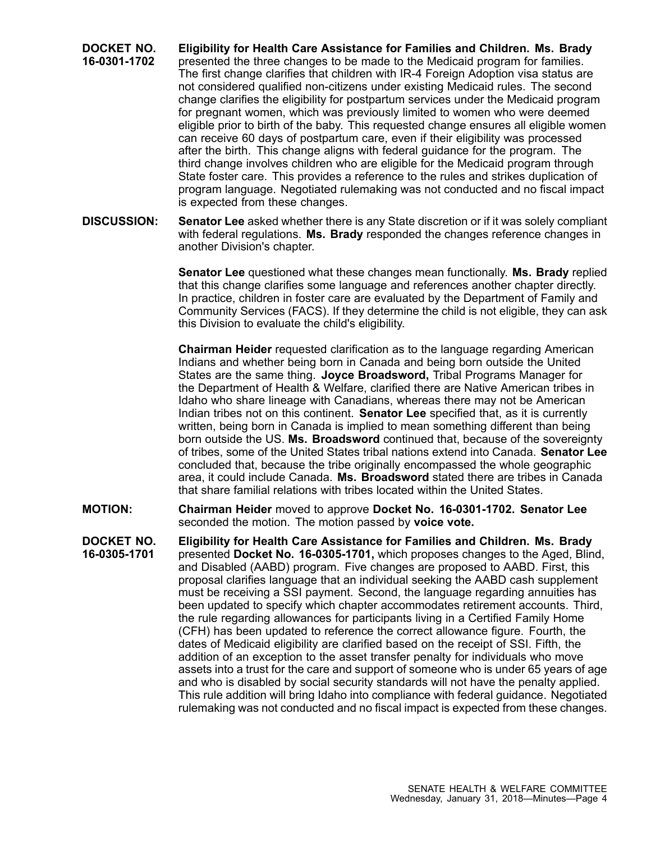**DOCKET NO. 16-0301-1702 Eligibility for Health Care Assistance for Families and Children. Ms. Brady** presented the three changes to be made to the Medicaid program for families. The first change clarifies that children with IR-4 Foreign Adoption visa status are not considered qualified non-citizens under existing Medicaid rules. The second change clarifies the eligibility for postpartum services under the Medicaid program for pregnant women, which was previously limited to women who were deemed eligible prior to birth of the baby. This requested change ensures all eligible women can receive 60 days of postpartum care, even if their eligibility was processed after the birth. This change aligns with federal guidance for the program. The third change involves children who are eligible for the Medicaid program through State foster care. This provides <sup>a</sup> reference to the rules and strikes duplication of program language. Negotiated rulemaking was not conducted and no fiscal impact is expected from these changes.

**DISCUSSION: Senator Lee** asked whether there is any State discretion or if it was solely compliant with federal regulations. **Ms. Brady** responded the changes reference changes in another Division's chapter.

> **Senator Lee** questioned what these changes mean functionally. **Ms. Brady** replied that this change clarifies some language and references another chapter directly. In practice, children in foster care are evaluated by the Department of Family and Community Services (FACS). If they determine the child is not eligible, they can ask this Division to evaluate the child's eligibility.

> **Chairman Heider** requested clarification as to the language regarding American Indians and whether being born in Canada and being born outside the United States are the same thing. **Joyce Broadsword,** Tribal Programs Manager for the Department of Health & Welfare, clarified there are Native American tribes in Idaho who share lineage with Canadians, whereas there may not be American Indian tribes not on this continent. **Senator Lee** specified that, as it is currently written, being born in Canada is implied to mean something different than being born outside the US. **Ms. Broadsword** continued that, because of the sovereignty of tribes, some of the United States tribal nations extend into Canada. **Senator Lee** concluded that, because the tribe originally encompassed the whole geographic area, it could include Canada. **Ms. Broadsword** stated there are tribes in Canada that share familial relations with tribes located within the United States.

**MOTION: Chairman Heider** moved to approve **Docket No. 16-0301-1702. Senator Lee** seconded the motion. The motion passed by **voice vote.**

**DOCKET NO. 16-0305-1701 Eligibility for Health Care Assistance for Families and Children. Ms. Brady** presented **Docket No. 16-0305-1701,** which proposes changes to the Aged, Blind, and Disabled (AABD) program. Five changes are proposed to AABD. First, this proposal clarifies language that an individual seeking the AABD cash supplement must be receiving <sup>a</sup> SSI payment. Second, the language regarding annuities has been updated to specify which chapter accommodates retirement accounts. Third, the rule regarding allowances for participants living in <sup>a</sup> Certified Family Home (CFH) has been updated to reference the correct allowance figure. Fourth, the dates of Medicaid eligibility are clarified based on the receipt of SSI. Fifth, the addition of an exception to the asset transfer penalty for individuals who move assets into <sup>a</sup> trust for the care and support of someone who is under 65 years of age and who is disabled by social security standards will not have the penalty applied. This rule addition will bring Idaho into compliance with federal guidance. Negotiated rulemaking was not conducted and no fiscal impact is expected from these changes.